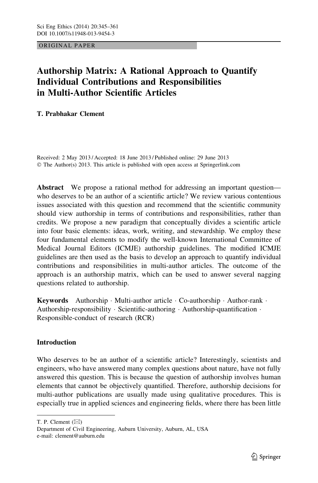#### ORIGINAL PAPER

# Authorship Matrix: A Rational Approach to Quantify Individual Contributions and Responsibilities in Multi-Author Scientific Articles

T. Prabhakar Clement

Received: 2 May 2013 / Accepted: 18 June 2013 / Published online: 29 June 2013 © The Author(s) 2013. This article is published with open access at Springerlink.com

Abstract We propose a rational method for addressing an important question who deserves to be an author of a scientific article? We review various contentious issues associated with this question and recommend that the scientific community should view authorship in terms of contributions and responsibilities, rather than credits. We propose a new paradigm that conceptually divides a scientific article into four basic elements: ideas, work, writing, and stewardship. We employ these four fundamental elements to modify the well-known International Committee of Medical Journal Editors (ICMJE) authorship guidelines. The modified ICMJE guidelines are then used as the basis to develop an approach to quantify individual contributions and responsibilities in multi-author articles. The outcome of the approach is an authorship matrix, which can be used to answer several nagging questions related to authorship.

Keywords Authorship Multi-author article Co-authorship Author-rank · Authorship-responsibility - Scientific-authoring - Authorship-quantification - Responsible-conduct of research (RCR)

# Introduction

Who deserves to be an author of a scientific article? Interestingly, scientists and engineers, who have answered many complex questions about nature, have not fully answered this question. This is because the question of authorship involves human elements that cannot be objectively quantified. Therefore, authorship decisions for multi-author publications are usually made using qualitative procedures. This is especially true in applied sciences and engineering fields, where there has been little

T. P. Clement  $(\boxtimes)$ 

Department of Civil Engineering, Auburn University, Auburn, AL, USA e-mail: clement@auburn.edu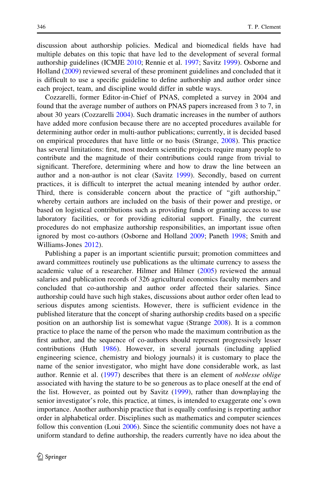discussion about authorship policies. Medical and biomedical fields have had multiple debates on this topic that have led to the development of several formal authorship guidelines (ICMJE [2010](#page-15-0); Rennie et al. [1997;](#page-15-0) Savitz [1999\)](#page-15-0). Osborne and Holland ([2009\)](#page-15-0) reviewed several of these prominent guidelines and concluded that it is difficult to use a specific guideline to define authorship and author order since each project, team, and discipline would differ in subtle ways.

Cozzarelli, former Editor-in-Chief of PNAS, completed a survey in 2004 and found that the average number of authors on PNAS papers increased from 3 to 7, in about 30 years (Cozzarelli [2004](#page-15-0)). Such dramatic increases in the number of authors have added more confusion because there are no accepted procedures available for determining author order in multi-author publications; currently, it is decided based on empirical procedures that have little or no basis (Strange, [2008\)](#page-15-0). This practice has several limitations: first, most modern scientific projects require many people to contribute and the magnitude of their contributions could range from trivial to significant. Therefore, determining where and how to draw the line between an author and a non-author is not clear (Savitz [1999](#page-15-0)). Secondly, based on current practices, it is difficult to interpret the actual meaning intended by author order. Third, there is considerable concern about the practice of ''gift authorship,'' whereby certain authors are included on the basis of their power and prestige, or based on logistical contributions such as providing funds or granting access to use laboratory facilities, or for providing editorial support. Finally, the current procedures do not emphasize authorship responsibilities, an important issue often ignored by most co-authors (Osborne and Holland [2009;](#page-15-0) Paneth [1998;](#page-15-0) Smith and Williams-Jones [2012\)](#page-15-0).

Publishing a paper is an important scientific pursuit; promotion committees and award committees routinely use publications as the ultimate currency to assess the academic value of a researcher. Hilmer and Hilmer [\(2005](#page-15-0)) reviewed the annual salaries and publication records of 326 agricultural economics faculty members and concluded that co-authorship and author order affected their salaries. Since authorship could have such high stakes, discussions about author order often lead to serious disputes among scientists. However, there is sufficient evidence in the published literature that the concept of sharing authorship credits based on a specific position on an authorship list is somewhat vague (Strange [2008](#page-15-0)). It is a common practice to place the name of the person who made the maximum contribution as the first author, and the sequence of co-authors should represent progressively lesser contributions (Huth [1986](#page-15-0)). However, in several journals (including applied engineering science, chemistry and biology journals) it is customary to place the name of the senior investigator, who might have done considerable work, as last author. Rennie et al. ([1997\)](#page-15-0) describes that there is an element of noblesse oblige associated with having the stature to be so generous as to place oneself at the end of the list. However, as pointed out by Savitz [\(1999\)](#page-15-0), rather than downplaying the senior investigator's role, this practice, at times, is intended to exaggerate one's own importance. Another authorship practice that is equally confusing is reporting author order in alphabetical order. Disciplines such as mathematics and computer sciences follow this convention (Loui [2006](#page-15-0)). Since the scientific community does not have a uniform standard to define authorship, the readers currently have no idea about the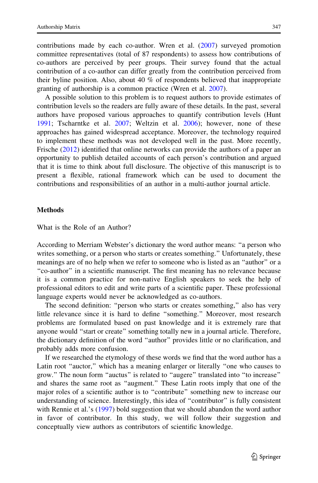contributions made by each co-author. Wren et al. [\(2007](#page-16-0)) surveyed promotion committee representatives (total of 87 respondents) to assess how contributions of co-authors are perceived by peer groups. Their survey found that the actual contribution of a co-author can differ greatly from the contribution perceived from their byline position. Also, about 40 % of respondents believed that inappropriate granting of authorship is a common practice (Wren et al. [2007\)](#page-16-0).

A possible solution to this problem is to request authors to provide estimates of contribution levels so the readers are fully aware of these details. In the past, several authors have proposed various approaches to quantify contribution levels (Hunt [1991;](#page-15-0) Tscharntke et al. [2007;](#page-16-0) Weltzin et al. [2006\)](#page-16-0); however, none of these approaches has gained widespread acceptance. Moreover, the technology required to implement these methods was not developed well in the past. More recently, Frische ([2012\)](#page-15-0) identified that online networks can provide the authors of a paper an opportunity to publish detailed accounts of each person's contribution and argued that it is time to think about full disclosure. The objective of this manuscript is to present a flexible, rational framework which can be used to document the contributions and responsibilities of an author in a multi-author journal article.

#### Methods

What is the Role of an Author?

According to Merriam Webster's dictionary the word author means: ''a person who writes something, or a person who starts or creates something.'' Unfortunately, these meanings are of no help when we refer to someone who is listed as an ''author'' or a ''co-author'' in a scientific manuscript. The first meaning has no relevance because it is a common practice for non-native English speakers to seek the help of professional editors to edit and write parts of a scientific paper. These professional language experts would never be acknowledged as co-authors.

The second definition: ''person who starts or creates something,'' also has very little relevance since it is hard to define ''something.'' Moreover, most research problems are formulated based on past knowledge and it is extremely rare that anyone would ''start or create'' something totally new in a journal article. Therefore, the dictionary definition of the word ''author'' provides little or no clarification, and probably adds more confusion.

If we researched the etymology of these words we find that the word author has a Latin root "auctor," which has a meaning enlarger or literally "one who causes to grow.'' The noun form ''auctus'' is related to ''augere'' translated into ''to increase'' and shares the same root as ''augment.'' These Latin roots imply that one of the major roles of a scientific author is to ''contribute'' something new to increase our understanding of science. Interestingly, this idea of ''contributor'' is fully consistent with Rennie et al.'s [\(1997](#page-15-0)) bold suggestion that we should abandon the word author in favor of contributor. In this study, we will follow their suggestion and conceptually view authors as contributors of scientific knowledge.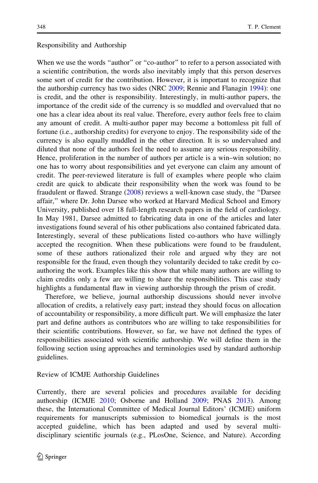### Responsibility and Authorship

When we use the words "author" or "co-author" to refer to a person associated with a scientific contribution, the words also inevitably imply that this person deserves some sort of credit for the contribution. However, it is important to recognize that the authorship currency has two sides (NRC [2009;](#page-15-0) Rennie and Flanagin [1994\)](#page-15-0): one is credit, and the other is responsibility. Interestingly, in multi-author papers, the importance of the credit side of the currency is so muddled and overvalued that no one has a clear idea about its real value. Therefore, every author feels free to claim any amount of credit. A multi-author paper may become a bottomless pit full of fortune (i.e., authorship credits) for everyone to enjoy. The responsibility side of the currency is also equally muddled in the other direction. It is so undervalued and diluted that none of the authors feel the need to assume any serious responsibility. Hence, proliferation in the number of authors per article is a win–win solution; no one has to worry about responsibilities and yet everyone can claim any amount of credit. The peer-reviewed literature is full of examples where people who claim credit are quick to abdicate their responsibility when the work was found to be fraudulent or flawed. Strange ([2008\)](#page-15-0) reviews a well-known case study, the ''Darsee affair,'' where Dr. John Darsee who worked at Harvard Medical School and Emory University, published over 18 full-length research papers in the field of cardiology. In May 1981, Darsee admitted to fabricating data in one of the articles and later investigations found several of his other publications also contained fabricated data. Interestingly, several of these publications listed co-authors who have willingly accepted the recognition. When these publications were found to be fraudulent, some of these authors rationalized their role and argued why they are not responsible for the fraud, even though they voluntarily decided to take credit by coauthoring the work. Examples like this show that while many authors are willing to claim credits only a few are willing to share the responsibilities. This case study highlights a fundamental flaw in viewing authorship through the prism of credit.

Therefore, we believe, journal authorship discussions should never involve allocation of credits, a relatively easy part; instead they should focus on allocation of accountability or responsibility, a more difficult part. We will emphasize the later part and define authors as contributors who are willing to take responsibilities for their scientific contributions. However, so far, we have not defined the types of responsibilities associated with scientific authorship. We will define them in the following section using approaches and terminologies used by standard authorship guidelines.

### Review of ICMJE Authorship Guidelines

Currently, there are several policies and procedures available for deciding authorship (ICMJE [2010;](#page-15-0) Osborne and Holland [2009;](#page-15-0) PNAS [2013](#page-15-0)). Among these, the International Committee of Medical Journal Editors' (ICMJE) uniform requirements for manuscripts submission to biomedical journals is the most accepted guideline, which has been adapted and used by several multidisciplinary scientific journals (e.g., PLosOne, Science, and Nature). According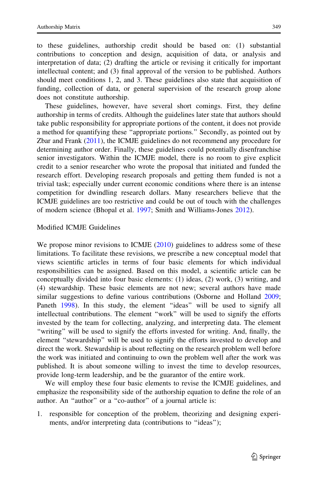to these guidelines, authorship credit should be based on: (1) substantial contributions to conception and design, acquisition of data, or analysis and interpretation of data; (2) drafting the article or revising it critically for important intellectual content; and (3) final approval of the version to be published. Authors should meet conditions 1, 2, and 3. These guidelines also state that acquisition of funding, collection of data, or general supervision of the research group alone does not constitute authorship.

These guidelines, however, have several short comings. First, they define authorship in terms of credits. Although the guidelines later state that authors should take public responsibility for appropriate portions of the content, it does not provide a method for quantifying these ''appropriate portions.'' Secondly, as pointed out by Zbar and Frank [\(2011](#page-16-0)), the ICMJE guidelines do not recommend any procedure for determining author order. Finally, these guidelines could potentially disenfranchise senior investigators. Within the ICMJE model, there is no room to give explicit credit to a senior researcher who wrote the proposal that initiated and funded the research effort. Developing research proposals and getting them funded is not a trivial task; especially under current economic conditions where there is an intense competition for dwindling research dollars. Many researchers believe that the ICMJE guidelines are too restrictive and could be out of touch with the challenges of modern science (Bhopal et al. [1997;](#page-15-0) Smith and Williams-Jones [2012](#page-15-0)).

### Modified ICMJE Guidelines

We propose minor revisions to ICMJE [\(2010](#page-15-0)) guidelines to address some of these limitations. To facilitate these revisions, we prescribe a new conceptual model that views scientific articles in terms of four basic elements for which individual responsibilities can be assigned. Based on this model, a scientific article can be conceptually divided into four basic elements: (1) ideas, (2) work, (3) writing, and (4) stewardship. These basic elements are not new; several authors have made similar suggestions to define various contributions (Osborne and Holland [2009;](#page-15-0) Paneth [1998\)](#page-15-0). In this study, the element "ideas" will be used to signify all intellectual contributions. The element ''work'' will be used to signify the efforts invested by the team for collecting, analyzing, and interpreting data. The element "writing" will be used to signify the efforts invested for writing. And, finally, the element ''stewardship'' will be used to signify the efforts invested to develop and direct the work. Stewardship is about reflecting on the research problem well before the work was initiated and continuing to own the problem well after the work was published. It is about someone willing to invest the time to develop resources, provide long-term leadership, and be the guarantor of the entire work.

We will employ these four basic elements to revise the ICMJE guidelines, and emphasize the responsibility side of the authorship equation to define the role of an author. An ''author'' or a ''co-author'' of a journal article is:

1. responsible for conception of the problem, theorizing and designing experiments, and/or interpreting data (contributions to "ideas");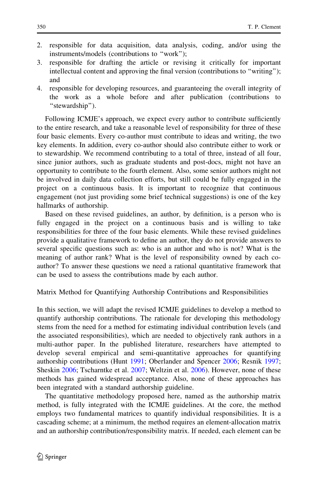- 2. responsible for data acquisition, data analysis, coding, and/or using the instruments/models (contributions to ''work'');
- 3. responsible for drafting the article or revising it critically for important intellectual content and approving the final version (contributions to ''writing''); and
- 4. responsible for developing resources, and guaranteeing the overall integrity of the work as a whole before and after publication (contributions to "stewardship").

Following ICMJE's approach, we expect every author to contribute sufficiently to the entire research, and take a reasonable level of responsibility for three of these four basic elements. Every co-author must contribute to ideas and writing, the two key elements. In addition, every co-author should also contribute either to work or to stewardship. We recommend contributing to a total of three, instead of all four, since junior authors, such as graduate students and post-docs, might not have an opportunity to contribute to the fourth element. Also, some senior authors might not be involved in daily data collection efforts, but still could be fully engaged in the project on a continuous basis. It is important to recognize that continuous engagement (not just providing some brief technical suggestions) is one of the key hallmarks of authorship.

Based on these revised guidelines, an author, by definition, is a person who is fully engaged in the project on a continuous basis and is willing to take responsibilities for three of the four basic elements. While these revised guidelines provide a qualitative framework to define an author, they do not provide answers to several specific questions such as: who is an author and who is not? What is the meaning of author rank? What is the level of responsibility owned by each coauthor? To answer these questions we need a rational quantitative framework that can be used to assess the contributions made by each author.

Matrix Method for Quantifying Authorship Contributions and Responsibilities

In this section, we will adapt the revised ICMJE guidelines to develop a method to quantify authorship contributions. The rationale for developing this methodology stems from the need for a method for estimating individual contribution levels (and the associated responsibilities), which are needed to objectively rank authors in a multi-author paper. In the published literature, researchers have attempted to develop several empirical and semi-quantitative approaches for quantifying authorship contributions (Hunt [1991;](#page-15-0) Oberlander and Spencer [2006](#page-15-0); Resnik [1997;](#page-15-0) Sheskin [2006](#page-15-0); Tscharntke et al. [2007;](#page-16-0) Weltzin et al. [2006\)](#page-16-0). However, none of these methods has gained widespread acceptance. Also, none of these approaches has been integrated with a standard authorship guideline.

The quantitative methodology proposed here, named as the authorship matrix method, is fully integrated with the ICMJE guidelines. At the core, the method employs two fundamental matrices to quantify individual responsibilities. It is a cascading scheme; at a minimum, the method requires an element-allocation matrix and an authorship contribution/responsibility matrix. If needed, each element can be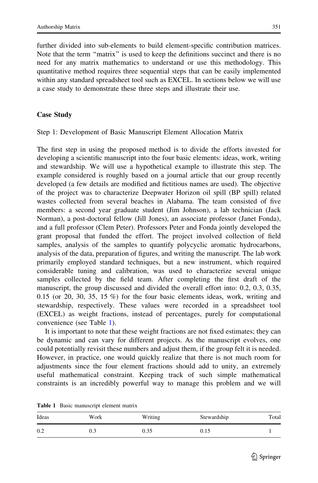further divided into sub-elements to build element-specific contribution matrices. Note that the term "matrix" is used to keep the definitions succinct and there is no need for any matrix mathematics to understand or use this methodology. This quantitative method requires three sequential steps that can be easily implemented within any standard spreadsheet tool such as EXCEL. In sections below we will use a case study to demonstrate these three steps and illustrate their use.

# Case Study

Step 1: Development of Basic Manuscript Element Allocation Matrix

The first step in using the proposed method is to divide the efforts invested for developing a scientific manuscript into the four basic elements: ideas, work, writing and stewardship. We will use a hypothetical example to illustrate this step. The example considered is roughly based on a journal article that our group recently developed (a few details are modified and fictitious names are used). The objective of the project was to characterize Deepwater Horizon oil spill (BP spill) related wastes collected from several beaches in Alabama. The team consisted of five members: a second year graduate student (Jim Johnson), a lab technician (Jack Norman), a post-doctoral fellow (Jill Jones), an associate professor (Janet Fonda), and a full professor (Clem Peter). Professors Peter and Fonda jointly developed the grant proposal that funded the effort. The project involved collection of field samples, analysis of the samples to quantify polycyclic aromatic hydrocarbons, analysis of the data, preparation of figures, and writing the manuscript. The lab work primarily employed standard techniques, but a new instrument, which required considerable tuning and calibration, was used to characterize several unique samples collected by the field team. After completing the first draft of the manuscript, the group discussed and divided the overall effort into: 0.2, 0.3, 0.35, 0.15 (or 20, 30, 35, 15  $\%$ ) for the four basic elements ideas, work, writing and stewardship, respectively. These values were recorded in a spreadsheet tool (EXCEL) as weight fractions, instead of percentages, purely for computational convenience (see Table 1).

It is important to note that these weight fractions are not fixed estimates; they can be dynamic and can vary for different projects. As the manuscript evolves, one could potentially revisit these numbers and adjust them, if the group felt it is needed. However, in practice, one would quickly realize that there is not much room for adjustments since the four element fractions should add to unity, an extremely useful mathematical constraint. Keeping track of such simple mathematical constraints is an incredibly powerful way to manage this problem and we will

| Ideas | Work | Writing | Stewardship | Total |
|-------|------|---------|-------------|-------|
| 0.2   | 0.3  | 0.35    | 0.15        |       |

Table 1 Basic manuscript element matrix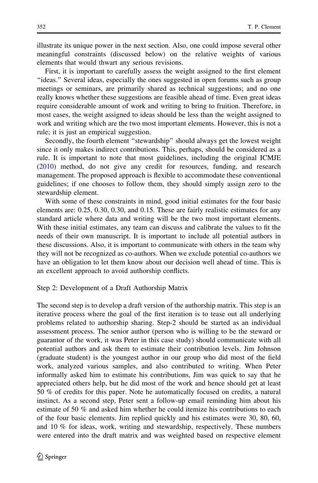illustrate its unique power in the next section. Also, one could impose several other meaningful constraints (discussed below) on the relative weights of various elements that would thwart any serious revisions.

First, it is important to carefully assess the weight assigned to the first element "ideas." Several ideas, especially the ones suggested in open forums such as group meetings or seminars, are primarily shared as technical suggestions; and no one really knows whether these suggestions are feasible ahead of time. Even great ideas require considerable amount of work and writing to bring to fruition. Therefore, in most cases, the weight assigned to ideas should be less than the weight assigned to work and writing which are the two most important elements. However, this is not a rule; it is just an empirical suggestion.

Secondly, the fourth element ''stewardship'' should always get the lowest weight since it only makes indirect contributions. This, perhaps, should be considered as a rule. It is important to note that most guidelines, including the original ICMJE [\(2010](#page-15-0)) method, do not give any credit for resources, funding, and research management. The proposed approach is flexible to accommodate these conventional guidelines; if one chooses to follow them, they should simply assign zero to the stewardship element.

With some of these constraints in mind, good initial estimates for the four basic elements are: 0.25, 0.30, 0.30, and 0.15. These are fairly realistic estimates for any standard article where data and writing will be the two most important elements. With these initial estimates, any team can discuss and calibrate the values to fit the needs of their own manuscript. It is important to include all potential authors in these discussions. Also, it is important to communicate with others in the team why they will not be recognized as co-authors. When we exclude potential co-authors we have an obligation to let them know about our decision well ahead of time. This is an excellent approach to avoid authorship conflicts.

Step 2: Development of a Draft Authorship Matrix

The second step is to develop a draft version of the authorship matrix. This step is an iterative process where the goal of the first iteration is to tease out all underlying problems related to authorship sharing. Step-2 should be started as an individual assessment process. The senior author (person who is willing to be the steward or guarantor of the work, it was Peter in this case study) should communicate with all potential authors and ask them to estimate their contribution levels. Jim Johnson (graduate student) is the youngest author in our group who did most of the field work, analyzed various samples, and also contributed to writing. When Peter informally asked him to estimate his contributions, Jim was quick to say that he appreciated others help, but he did most of the work and hence should get at least 50 % of credits for this paper. Note he automatically focused on credits, a natural instinct. As a second step, Peter sent a follow-up email reminding him about his estimate of 50 % and asked him whether he could itemize his contributions to each of the four basic elements. Jim replied quickly and his estimates were 30, 80, 60, and 10 % for ideas, work, writing and stewardship, respectively. These numbers were entered into the draft matrix and was weighted based on respective element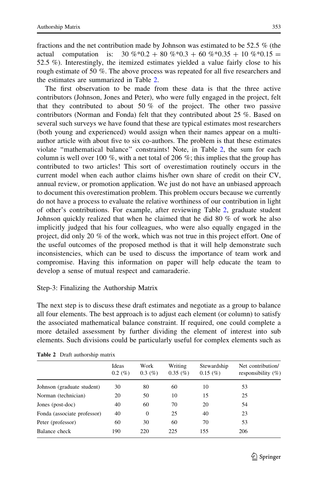fractions and the net contribution made by Johnson was estimated to be 52.5 % (the actual computation is:  $30\%^{*}0.2 + 80\%^{*}0.3 + 60\%^{*}0.35 + 10\%^{*}0.15 =$ 52.5 %). Interestingly, the itemized estimates yielded a value fairly close to his rough estimate of 50 %. The above process was repeated for all five researchers and the estimates are summarized in Table 2.

The first observation to be made from these data is that the three active contributors (Johnson, Jones and Peter), who were fully engaged in the project, felt that they contributed to about 50  $\%$  of the project. The other two passive contributors (Norman and Fonda) felt that they contributed about 25 %. Based on several such surveys we have found that these are typical estimates most researchers (both young and experienced) would assign when their names appear on a multiauthor article with about five to six co-authors. The problem is that these estimates violate ''mathematical balance'' constraints! Note, in Table 2, the sum for each column is well over 100  $\%$ , with a net total of 206  $\%$ ; this implies that the group has contributed to two articles! This sort of overestimation routinely occurs in the current model when each author claims his/her own share of credit on their CV, annual review, or promotion application. We just do not have an unbiased approach to document this overestimation problem. This problem occurs because we currently do not have a process to evaluate the relative worthiness of our contribution in light of other's contributions. For example, after reviewing Table 2, graduate student Johnson quickly realized that when he claimed that he did 80 % of work he also implicitly judged that his four colleagues, who were also equally engaged in the project, did only 20 % of the work, which was not true in this project effort. One of the useful outcomes of the proposed method is that it will help demonstrate such inconsistencies, which can be used to discuss the importance of team work and compromise. Having this information on paper will help educate the team to develop a sense of mutual respect and camaraderie.

# Step-3: Finalizing the Authorship Matrix

The next step is to discuss these draft estimates and negotiate as a group to balance all four elements. The best approach is to adjust each element (or column) to satisfy the associated mathematical balance constraint. If required, one could complete a more detailed assessment by further dividing the element of interest into sub elements. Such divisions could be particularly useful for complex elements such as

|                             | Ideas<br>$0.2~(\%)$ | Work<br>$0.3~(\%)$ | Writing<br>$0.35~(\%)$ | Stewardship<br>$0.15~(\%)$ | Net contribution/<br>responsibility $(\%)$ |
|-----------------------------|---------------------|--------------------|------------------------|----------------------------|--------------------------------------------|
| Johnson (graduate student)  | 30                  | 80                 | 60                     | 10                         | 53                                         |
| Norman (technician)         | 20                  | 50                 | 10                     | 15                         | 25                                         |
| Jones (post-doc)            | 40                  | 60                 | 70                     | 20                         | 54                                         |
| Fonda (associate professor) | 40                  | $\Omega$           | 25                     | 40                         | 23                                         |
| Peter (professor)           | 60                  | 30                 | 60                     | 70                         | 53                                         |
| Balance check               | 190                 | 220                | 225                    | 155                        | 206                                        |
|                             |                     |                    |                        |                            |                                            |

Table 2 Draft authorship matrix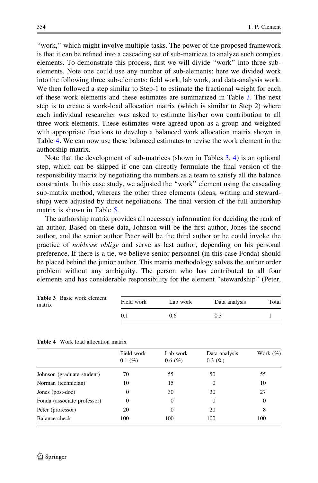''work,'' which might involve multiple tasks. The power of the proposed framework is that it can be refined into a cascading set of sub-matrices to analyze such complex elements. To demonstrate this process, first we will divide ''work'' into three subelements. Note one could use any number of sub-elements; here we divided work into the following three sub-elements: field work, lab work, and data-analysis work. We then followed a step similar to Step-1 to estimate the fractional weight for each of these work elements and these estimates are summarized in Table 3. The next step is to create a work-load allocation matrix (which is similar to Step 2) where each individual researcher was asked to estimate his/her own contribution to all three work elements. These estimates were agreed upon as a group and weighted with appropriate fractions to develop a balanced work allocation matrix shown in Table 4. We can now use these balanced estimates to revise the work element in the authorship matrix.

Note that the development of sub-matrices (shown in Tables 3, 4) is an optional step, which can be skipped if one can directly formulate the final version of the responsibility matrix by negotiating the numbers as a team to satisfy all the balance constraints. In this case study, we adjusted the ''work'' element using the cascading sub-matrix method, whereas the other three elements (ideas, writing and stewardship) were adjusted by direct negotiations. The final version of the full authorship matrix is shown in Table [5](#page-10-0).

The authorship matrix provides all necessary information for deciding the rank of an author. Based on these data, Johnson will be the first author, Jones the second author, and the senior author Peter will be the third author or he could invoke the practice of noblesse oblige and serve as last author, depending on his personal preference. If there is a tie, we believe senior personnel (in this case Fonda) should be placed behind the junior author. This matrix methodology solves the author order problem without any ambiguity. The person who has contributed to all four elements and has considerable responsibility for the element ''stewardship'' (Peter,

| <b>Table 3</b> Basic work element<br>matrix | Field work | Lab work | Data analysis | Total |
|---------------------------------------------|------------|----------|---------------|-------|
|                                             |            | 0.6      |               |       |

|                             | Field work<br>$0.1~(\%)$ | Lab work<br>$0.6~(\%)$ | Data analysis<br>$0.3~(\%)$ | Work $(\%)$    |
|-----------------------------|--------------------------|------------------------|-----------------------------|----------------|
| Johnson (graduate student)  | 70                       | 55                     | 50                          | 55             |
| Norman (technician)         | 10                       | 15                     | 0                           | 10             |
| Jones (post-doc)            | $\mathbf{0}$             | 30                     | 30                          | 27             |
| Fonda (associate professor) | $\Omega$                 | $\Omega$               | $\theta$                    | $\overline{0}$ |
| Peter (professor)           | 20                       |                        | 20                          | 8              |
| Balance check               | 100                      | 100                    | 100                         | 100            |

Table 4 Work load allocation matrix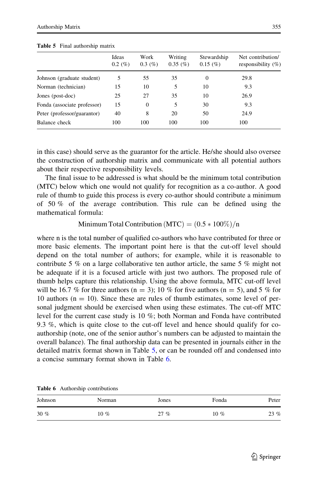|                             | Ideas<br>$0.2~(\%)$ | Work<br>$0.3~(\%)$ | Writing<br>$0.35~(\%)$ | Stewardship<br>$0.15~(\%)$ | Net contribution/<br>responsibility $(\%)$ |
|-----------------------------|---------------------|--------------------|------------------------|----------------------------|--------------------------------------------|
| Johnson (graduate student)  | .5                  | 55                 | 35                     | 0                          | 29.8                                       |
| Norman (technician)         | 15                  | 10                 | 5                      | 10                         | 9.3                                        |
| Jones (post-doc)            | 25                  | 27                 | 35                     | 10                         | 26.9                                       |
| Fonda (associate professor) | 15                  | $\Omega$           | 5                      | 30                         | 9.3                                        |
| Peter (professor/guarantor) | 40                  | 8                  | 20                     | 50                         | 24.9                                       |
| Balance check               | 100                 | 100                | 100                    | 100                        | 100                                        |
|                             |                     |                    |                        |                            |                                            |

<span id="page-10-0"></span>Table 5 Final authorship matrix

in this case) should serve as the guarantor for the article. He/she should also oversee the construction of authorship matrix and communicate with all potential authors about their respective responsibility levels.

The final issue to be addressed is what should be the minimum total contribution (MTC) below which one would not qualify for recognition as a co-author. A good rule of thumb to guide this process is every co-author should contribute a minimum of 50 % of the average contribution. This rule can be defined using the mathematical formula:

## Minimum Total Contribution (MTC) =  $(0.5 * 100\%)/n$

where n is the total number of qualified co-authors who have contributed for three or more basic elements. The important point here is that the cut-off level should depend on the total number of authors; for example, while it is reasonable to contribute 5 % on a large collaborative ten author article, the same 5 % might not be adequate if it is a focused article with just two authors. The proposed rule of thumb helps capture this relationship. Using the above formula, MTC cut-off level will be 16.7 % for three authors ( $n = 3$ ); 10 % for five authors ( $n = 5$ ), and 5 % for 10 authors ( $n = 10$ ). Since these are rules of thumb estimates, some level of personal judgment should be exercised when using these estimates. The cut-off MTC level for the current case study is 10 %; both Norman and Fonda have contributed 9.3 %, which is quite close to the cut-off level and hence should qualify for coauthorship (note, one of the senior author's numbers can be adjusted to maintain the overall balance). The final authorship data can be presented in journals either in the detailed matrix format shown in Table 5, or can be rounded off and condensed into a concise summary format shown in Table 6.

| Johnson | Norman | Jones | Fonda   | Peter |
|---------|--------|-------|---------|-------|
| 30%     | 10 %   | 27%   | $10 \%$ | 23 %  |

Table 6 Authorship contributions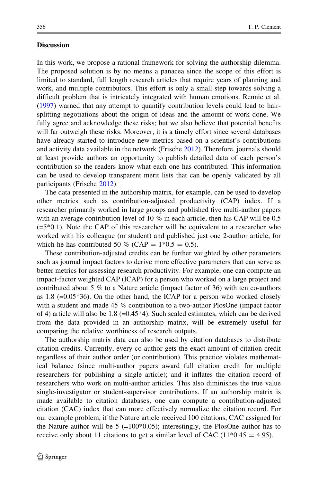#### **Discussion**

In this work, we propose a rational framework for solving the authorship dilemma. The proposed solution is by no means a panacea since the scope of this effort is limited to standard, full length research articles that require years of planning and work, and multiple contributors. This effort is only a small step towards solving a difficult problem that is intricately integrated with human emotions. Rennie et al. [\(1997](#page-15-0)) warned that any attempt to quantify contribution levels could lead to hairsplitting negotiations about the origin of ideas and the amount of work done. We fully agree and acknowledge these risks; but we also believe that potential benefits will far outweigh these risks. Moreover, it is a timely effort since several databases have already started to introduce new metrics based on a scientist's contributions and activity data available in the network (Frische [2012](#page-15-0)). Therefore, journals should at least provide authors an opportunity to publish detailed data of each person's contribution so the readers know what each one has contributed. This information can be used to develop transparent merit lists that can be openly validated by all participants (Frische [2012](#page-15-0)).

The data presented in the authorship matrix, for example, can be used to develop other metrics such as contribution-adjusted productivity (CAP) index. If a researcher primarily worked in large groups and published five multi-author papers with an average contribution level of 10 % in each article, then his CAP will be 0.5  $(=5*0.1)$ . Note the CAP of this researcher will be equivalent to a researcher who worked with his colleague (or student) and published just one 2-author article, for which he has contributed 50 % (CAP =  $1*0.5 = 0.5$ ).

These contribution-adjusted credits can be further weighted by other parameters such as journal impact factors to derive more effective parameters that can serve as better metrics for assessing research productivity. For example, one can compute an impact-factor weighted CAP (ICAP) for a person who worked on a large project and contributed about 5 % to a Nature article (impact factor of 36) with ten co-authors as  $1.8$  (=0.05 $*36$ ). On the other hand, the ICAP for a person who worked closely with a student and made 45 % contribution to a two-author PlosOne (impact factor of 4) article will also be 1.8 ( $=0.45*4$ ). Such scaled estimates, which can be derived from the data provided in an authorship matrix, will be extremely useful for comparing the relative worthiness of research outputs.

The authorship matrix data can also be used by citation databases to distribute citation credits. Currently, every co-author gets the exact amount of citation credit regardless of their author order (or contribution). This practice violates mathematical balance (since multi-author papers award full citation credit for multiple researchers for publishing a single article); and it inflates the citation record of researchers who work on multi-author articles. This also diminishes the true value single-investigator or student-supervisor contributions. If an authorship matrix is made available to citation databases, one can compute a contribution-adjusted citation (CAC) index that can more effectively normalize the citation record. For our example problem, if the Nature article received 100 citations, CAC assigned for the Nature author will be  $5$  (=100 $*$ 0.05); interestingly, the PlosOne author has to receive only about 11 citations to get a similar level of CAC  $(11*0.45 = 4.95)$ .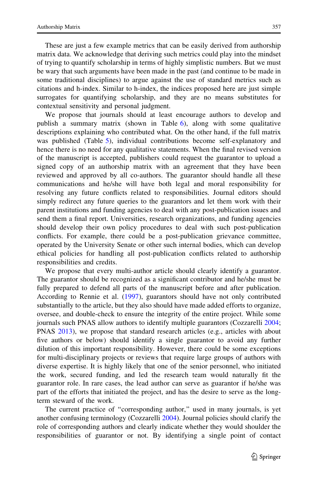These are just a few example metrics that can be easily derived from authorship matrix data. We acknowledge that deriving such metrics could play into the mindset of trying to quantify scholarship in terms of highly simplistic numbers. But we must be wary that such arguments have been made in the past (and continue to be made in some traditional disciplines) to argue against the use of standard metrics such as citations and h-index. Similar to h-index, the indices proposed here are just simple surrogates for quantifying scholarship, and they are no means substitutes for contextual sensitivity and personal judgment.

We propose that journals should at least encourage authors to develop and publish a summary matrix (shown in Table [6](#page-10-0)), along with some qualitative descriptions explaining who contributed what. On the other hand, if the full matrix was published (Table [5\)](#page-10-0), individual contributions become self-explanatory and hence there is no need for any qualitative statements. When the final revised version of the manuscript is accepted, publishers could request the guarantor to upload a signed copy of an authorship matrix with an agreement that they have been reviewed and approved by all co-authors. The guarantor should handle all these communications and he/she will have both legal and moral responsibility for resolving any future conflicts related to responsibilities. Journal editors should simply redirect any future queries to the guarantors and let them work with their parent institutions and funding agencies to deal with any post-publication issues and send them a final report. Universities, research organizations, and funding agencies should develop their own policy procedures to deal with such post-publication conflicts. For example, there could be a post-publication grievance committee, operated by the University Senate or other such internal bodies, which can develop ethical policies for handling all post-publication conflicts related to authorship responsibilities and credits.

We propose that every multi-author article should clearly identify a guarantor. The guarantor should be recognized as a significant contributor and he/she must be fully prepared to defend all parts of the manuscript before and after publication. According to Rennie et al. ([1997\)](#page-15-0), guarantors should have not only contributed substantially to the article, but they also should have made added efforts to organize, oversee, and double-check to ensure the integrity of the entire project. While some journals such PNAS allow authors to identify multiple guarantors (Cozzarelli [2004;](#page-15-0) PNAS [2013](#page-15-0)), we propose that standard research articles (e.g., articles with about five authors or below) should identify a single guarantor to avoid any further dilution of this important responsibility. However, there could be some exceptions for multi-disciplinary projects or reviews that require large groups of authors with diverse expertise. It is highly likely that one of the senior personnel, who initiated the work, secured funding, and led the research team would naturally fit the guarantor role. In rare cases, the lead author can serve as guarantor if he/she was part of the efforts that initiated the project, and has the desire to serve as the longterm steward of the work.

The current practice of "corresponding author," used in many journals, is yet another confusing terminology (Cozzarelli [2004](#page-15-0)). Journal policies should clarify the role of corresponding authors and clearly indicate whether they would shoulder the responsibilities of guarantor or not. By identifying a single point of contact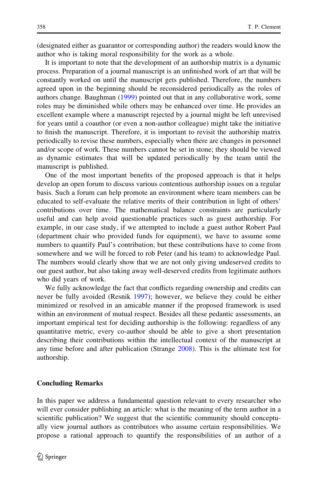(designated either as guarantor or corresponding author) the readers would know the author who is taking moral responsibility for the work as a whole.

It is important to note that the development of an authorship matrix is a dynamic process. Preparation of a journal manuscript is an unfinished work of art that will be constantly worked on until the manuscript gets published. Therefore, the numbers agreed upon in the beginning should be reconsidered periodically as the roles of authors change. Baughman [\(1999](#page-15-0)) pointed out that in any collaborative work, some roles may be diminished while others may be enhanced over time. He provides an excellent example where a manuscript rejected by a journal might be left unrevised for years until a coauthor (or even a non-author colleague) might take the initiative to finish the manuscript. Therefore, it is important to revisit the authorship matrix periodically to revise these numbers, especially when there are changes in personnel and/or scope of work. These numbers cannot be set in stone; they should be viewed as dynamic estimates that will be updated periodically by the team until the manuscript is published.

One of the most important benefits of the proposed approach is that it helps develop an open forum to discuss various contentious authorship issues on a regular basis. Such a forum can help promote an environment where team members can be educated to self-evaluate the relative merits of their contribution in light of others' contributions over time. The mathematical balance constraints are particularly useful and can help avoid questionable practices such as guest authorship. For example, in our case study, if we attempted to include a guest author Robert Paul (department chair who provided funds for equipment), we have to assume some numbers to quantify Paul's contribution; but these contributions have to come from somewhere and we will be forced to rob Peter (and his team) to acknowledge Paul. The numbers would clearly show that we are not only giving undeserved credits to our guest author, but also taking away well-deserved credits from legitimate authors who did years of work.

We fully acknowledge the fact that conflicts regarding ownership and credits can never be fully avoided (Resnik [1997\)](#page-15-0); however, we believe they could be either minimized or resolved in an amicable manner if the proposed framework is used within an environment of mutual respect. Besides all these pedantic assessments, an important empirical test for deciding authorship is the following: regardless of any quantitative metric, every co-author should be able to give a short presentation describing their contributions within the intellectual context of the manuscript at any time before and after publication (Strange [2008\)](#page-15-0). This is the ultimate test for authorship.

#### Concluding Remarks

In this paper we address a fundamental question relevant to every researcher who will ever consider publishing an article: what is the meaning of the term author in a scientific publication? We suggest that the scientific community should conceptually view journal authors as contributors who assume certain responsibilities. We propose a rational approach to quantify the responsibilities of an author of a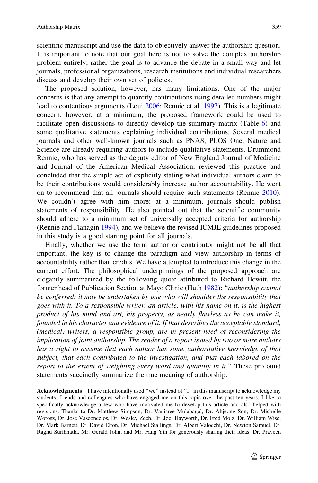scientific manuscript and use the data to objectively answer the authorship question. It is important to note that our goal here is not to solve the complex authorship problem entirely; rather the goal is to advance the debate in a small way and let journals, professional organizations, research institutions and individual researchers discuss and develop their own set of policies.

The proposed solution, however, has many limitations. One of the major concerns is that any attempt to quantify contributions using detailed numbers might lead to contentious arguments (Loui [2006;](#page-15-0) Rennie et al. [1997](#page-15-0)). This is a legitimate concern; however, at a minimum, the proposed framework could be used to facilitate open discussions to directly develop the summary matrix (Table [6\)](#page-10-0) and some qualitative statements explaining individual contributions. Several medical journals and other well-known journals such as PNAS, PLOS One, Nature and Science are already requiring authors to include qualitative statements. Drummond Rennie, who has served as the deputy editor of New England Journal of Medicine and Journal of the American Medical Association, reviewed this practice and concluded that the simple act of explicitly stating what individual authors claim to be their contributions would considerably increase author accountability. He went on to recommend that all journals should require such statements (Rennie [2010\)](#page-15-0). We couldn't agree with him more; at a minimum, journals should publish statements of responsibility. He also pointed out that the scientific community should adhere to a minimum set of universally accepted criteria for authorship (Rennie and Flanagin [1994\)](#page-15-0), and we believe the revised ICMJE guidelines proposed in this study is a good starting point for all journals.

Finally, whether we use the term author or contributor might not be all that important; the key is to change the paradigm and view authorship in terms of accountability rather than credits. We have attempted to introduce this change in the current effort. The philosophical underpinnings of the proposed approach are elegantly summarized by the following quote attributed to Richard Hewitt, the former head of Publication Section at Mayo Clinic (Huth [1982](#page-15-0)): ''authorship cannot be conferred: it may be undertaken by one who will shoulder the responsibility that goes with it. To a responsible writer, an article, with his name on it, is the highest product of his mind and art, his property, as nearly flawless as he can make it, founded in his character and evidence of it. If that describes the acceptable standard, (medical) writers, a responsible group, are in present need of reconsidering the implication of joint authorship. The reader of a report issued by two or more authors has a right to assume that each author has some authoritative knowledge of that subject, that each contributed to the investigation, and that each labored on the report to the extent of weighting every word and quantity in it." These profound statements succinctly summarize the true meaning of authorship.

Acknowledgments I have intentionally used "we" instead of "I" in this manuscript to acknowledge my students, friends and colleagues who have engaged me on this topic over the past ten years. I like to specifically acknowledge a few who have motivated me to develop this article and also helped with revisions. Thanks to Dr. Matthew Simpson, Dr. Vanisree Mulabagal, Dr. Ahjeong Son, Dr. Michelle Worosz, Dr. Jose Vasconcelos, Dr. Wesley Zech, Dr. Joel Hayworth, Dr. Fred Molz, Dr. William Wise, Dr. Mark Barnett, Dr. David Elton, Dr. Michael Stallings, Dr. Albert Valocchi, Dr. Newton Samuel, Dr. Raghu Suribhatla, Mr. Gerald John, and Mr. Fang Yin for generously sharing their ideas. Dr. Praveen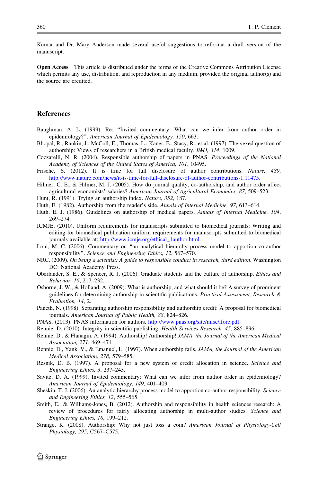<span id="page-15-0"></span>Kumar and Dr. Mary Anderson made several useful suggestions to reformat a draft version of the manuscript.

Open Access This article is distributed under the terms of the Creative Commons Attribution License which permits any use, distribution, and reproduction in any medium, provided the original author(s) and the source are credited.

### References

- Baughman, A. L. (1999). Re: ''Invited commentary: What can we infer from author order in epidemiology?''. American Journal of Epidemiology, 150, 663.
- Bhopal, R., Rankin, J., McColl, E., Thomas, L., Kaner, E., Stacy, R., et al. (1997). The vexed question of authorship: Views of researchers in a British medical faculty. BMJ, 314, 1009.
- Cozzarelli, N. R. (2004). Responsible authorship of papers in PNAS. Proceedings of the National Academy of Sciences of the United States of America, 101, 10495.
- Frische, S. (2012). It is time for full disclosure of author contributions. Nature, 489. <http://www.nature.com/news/it-is-time-for-full-disclosure-of-author-contributions-1.11475>.
- Hilmer, C. E., & Hilmer, M. J. (2005). How do journal quality, co-authorship, and author order affect agricultural economists' salaries? American Journal of Agricultural Economics, 87, 509–523.
- Hunt, R. (1991). Trying an authorship index. Nature, 352, 187.
- Huth, E. (1982). Authorship from the reader's side. Annals of Internal Medicine, 97, 613–614.
- Huth, E. J. (1986). Guidelines on authorship of medical papers. Annals of Internal Medicine, 104, 269–274.
- ICMJE. (2010). Uniform requirements for manuscripts submitted to biomedical journals: Writing and editing for biomedical publication uniform requirements for manuscripts submitted to biomedical journals available at: [http://www.icmje.org/ethical\\_1author.html.](http://www.icmje.org/ethical_1author.html)
- Loui, M. C. (2006). Commentary on ''an analytical hierarchy process model to apportion co-author responsibility''. Science and Engineering Ethics, 12, 567–570.
- NRC. (2009). On being a scientist: A guide to responsible conduct in research, third edition. Washington DC: National Academy Press.
- Oberlander, S. E., & Spencer, R. J. (2006). Graduate students and the culture of authorship. Ethics and Behavior, 16, 217–232.
- Osborne, J. W., & Holland, A. (2009). What is authorship, and what should it be? A survey of prominent guidelines for determining authorship in scientific publications. Practical Assessment, Research & Evaluation, 14, 2.
- Paneth, N. (1998). Separating authorship responsibility and authorship credit: A proposal for biomedical journals. American Journal of Public Health, 88, 824–826.
- PNAS. (2013). PNAS information for authors. [http://www.pnas.org/site/misc/iforc.pdf.](http://www.pnas.org/site/misc/iforc.pdf)
- Rennie, D. (2010). Integrity in scientific publishing. Health Services Research, 45, 885–896.
- Rennie, D., & Flanagin, A. (1994). Authorship! Authorship! JAMA, the Journal of the American Medical Association, 271, 469–471.
- Rennie, D., Yank, V., & Emanuel, L. (1997). When authorship fails. *JAMA*, the Journal of the American Medical Association, 278, 579–585.
- Resnik, D. B. (1997). A proposal for a new system of credit allocation in science. Science and Engineering Ethics, 3, 237–243.
- Savitz, D. A. (1999). Invited commentary: What can we infer from author order in epidemiology? American Journal of Epidemiology, 149, 401–403.
- Sheskin, T. J. (2006). An analytic hierarchy process model to apportion co-author responsibility. Science and Engineering Ethics, 12, 555–565.
- Smith, E., & Williams-Jones, B. (2012). Authorship and responsibility in health sciences research: A review of procedures for fairly allocating authorship in multi-author studies. Science and Engineering Ethics, 18, 199–212.
- Strange, K. (2008). Authorship: Why not just toss a coin? American Journal of Physiology-Cell Physiology, 295, C567–C575.